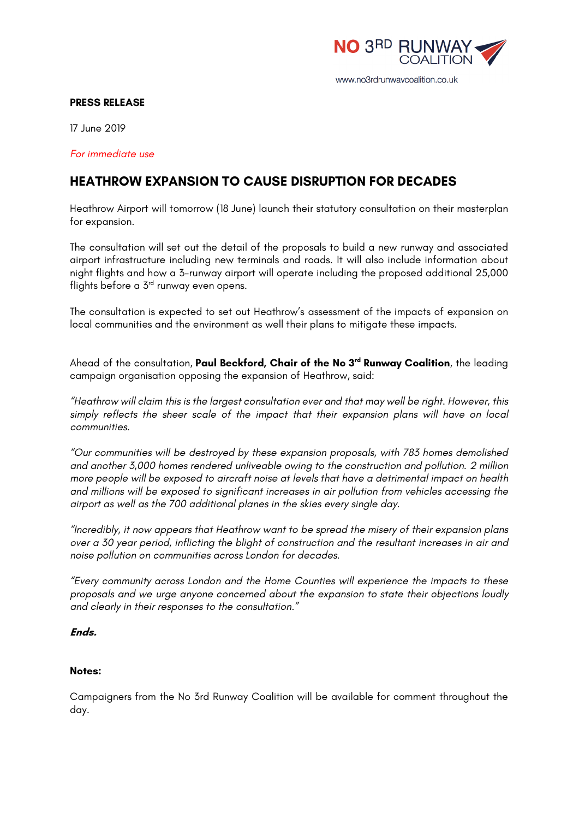

### www.no3rdrunwaycoalition.co.uk

### **PRESS RELEASE**

17 June 2019

*For immediate use*

# **HEATHROW EXPANSION TO CAUSE DISRUPTION FOR DECADES**

Heathrow Airport will tomorrow (18 June) launch their statutory consultation on their masterplan for expansion.

The consultation will set out the detail of the proposals to build a new runway and associated airport infrastructure including new terminals and roads. It will also include information about night flights and how a 3-runway airport will operate including the proposed additional 25,000 flights before a 3<sup>rd</sup> runway even opens.

The consultation is expected to set out Heathrow's assessment of the impacts of expansion on local communities and the environment as well their plans to mitigate these impacts.

Ahead of the consultation, **Paul Beckford, Chair of the No 3rd Runway Coalition**, the leading campaign organisation opposing the expansion of Heathrow, said:

*"Heathrow will claim this is the largest consultation ever and that may well be right. However, this simply reflects the sheer scale of the impact that their expansion plans will have on local communities.*

*"Our communities will be destroyed by these expansion proposals, with 783 homes demolished and another 3,000 homes rendered unliveable owing to the construction and pollution. 2 million more people will be exposed to aircraft noise at levels that have a detrimental impact on health and millions will be exposed to significant increases in air pollution from vehicles accessing the airport as well as the 700 additional planes in the skies every single day.* 

*"Incredibly, it now appears that Heathrow want to be spread the misery of their expansion plans over a 30 year period, inflicting the blight of construction and the resultant increases in air and noise pollution on communities across London for decades.* 

*"Every community across London and the Home Counties will experience the impacts to these proposals and we urge anyone concerned about the expansion to state their objections loudly and clearly in their responses to the consultation."*

## **Ends.**

### **Notes:**

Campaigners from the No 3rd Runway Coalition will be available for comment throughout the day.